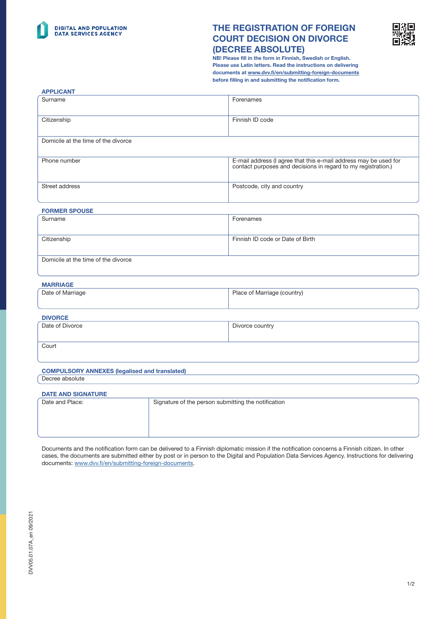

APPLICANT

# THE REGISTRATION OF FOREIGN COURT DECISION ON DIVORCE (DECREE ABSOLUTE)



NB! Please fill in the form in Finnish, Swedish or English. Please use Latin letters. Read the instructions on delivering documents at [www.dvv.fi/en/submitting-foreign-documents](http://www.dvv.fi/en/submitting-foreign-documents) before filling in and submitting the notification form.

| AF FEIVAILL                         |                                                                                                                                |  |
|-------------------------------------|--------------------------------------------------------------------------------------------------------------------------------|--|
| Surname                             | Forenames                                                                                                                      |  |
| Citizenship                         | Finnish ID code                                                                                                                |  |
| Domicile at the time of the divorce |                                                                                                                                |  |
| Phone number                        | E-mail address (I agree that this e-mail address may be used for contact purposes and decisions in regard to my registration.) |  |
| Street address                      | Postcode, city and country                                                                                                     |  |
| <b>FORMER SPOUSE</b>                |                                                                                                                                |  |
| Surname                             | Forenames                                                                                                                      |  |

| <b>Surriane</b>                     | <u>FUICIMENTES</u>               |
|-------------------------------------|----------------------------------|
| Citizenship                         | Finnish ID code or Date of Birth |
| Domicile at the time of the divorce |                                  |

| - | г |  |
|---|---|--|
|   |   |  |

| Date of Marriage | Place of Marriage (country) |
|------------------|-----------------------------|
|                  |                             |
|                  |                             |

| <b>DIVORCE</b>  |                 |
|-----------------|-----------------|
| Date of Divorce | Divorce country |
|                 |                 |
|                 |                 |
| Court           |                 |
|                 |                 |

# COMPULSORY ANNEXES (legalised and translated)

Decree absolute

#### DATE AND SIGNATURE

| <b>DAI E AND SKINATUNE</b> |                                                     |
|----------------------------|-----------------------------------------------------|
| Date and Place:            | Signature of the person submitting the notification |
|                            |                                                     |
|                            |                                                     |
|                            |                                                     |
|                            |                                                     |

Documents and the notification form can be delivered to a Finnish diplomatic mission if the notification concerns a Finnish citizen. In other cases, the documents are submitted either by post or in person to the Digital and Population Data Services Agency. Instructions for delivering documents: [www.dvv.fi/en/submitting-foreign-documents.](http://www.dvv.fi/en/submitting-foreign-documents)